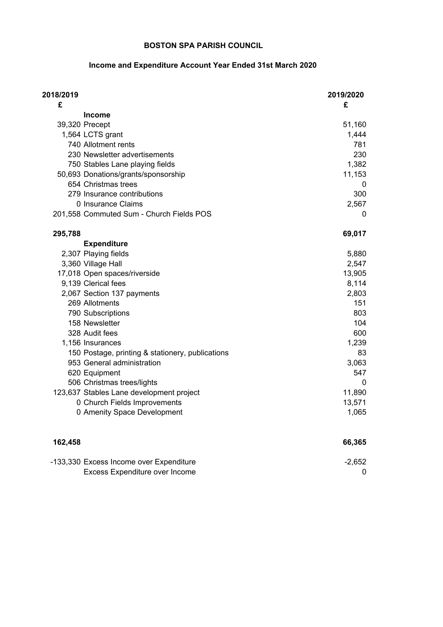### **Income and Expenditure Account Year Ended 31st March 2020**

| 2018/2019<br>£ |                                                  | 2019/2020<br>£ |
|----------------|--------------------------------------------------|----------------|
|                | <b>Income</b>                                    |                |
|                | 39,320 Precept                                   | 51,160         |
|                | 1,564 LCTS grant                                 | 1,444          |
|                | 740 Allotment rents                              | 781            |
|                | 230 Newsletter advertisements                    | 230            |
|                | 750 Stables Lane playing fields                  | 1,382          |
|                | 50,693 Donations/grants/sponsorship              | 11,153         |
|                | 654 Christmas trees                              | 0              |
|                | 279 Insurance contributions                      | 300            |
|                | 0 Insurance Claims                               | 2,567          |
|                | 201,558 Commuted Sum - Church Fields POS         | 0              |
| 295,788        |                                                  | 69,017         |
|                | <b>Expenditure</b>                               |                |
|                | 2,307 Playing fields                             | 5,880          |
|                | 3,360 Village Hall                               | 2,547          |
|                | 17,018 Open spaces/riverside                     | 13,905         |
|                | 9,139 Clerical fees                              | 8,114          |
|                | 2,067 Section 137 payments                       | 2,803          |
|                | 269 Allotments                                   | 151            |
|                | 790 Subscriptions                                | 803            |
|                | 158 Newsletter                                   | 104            |
|                | 328 Audit fees                                   | 600            |
|                | 1,156 Insurances                                 | 1,239          |
|                | 150 Postage, printing & stationery, publications | 83             |
|                | 953 General administration                       | 3,063          |
|                | 620 Equipment                                    | 547            |
|                | 506 Christmas trees/lights                       | 0              |
|                | 123,637 Stables Lane development project         | 11,890         |
|                | 0 Church Fields Improvements                     | 13,571         |
|                | 0 Amenity Space Development                      | 1,065          |
| 162,458        |                                                  | 66,365         |
|                | -133,330 Excess Income over Expenditure          | $-2,652$       |
|                | Excess Expenditure over Income                   | 0              |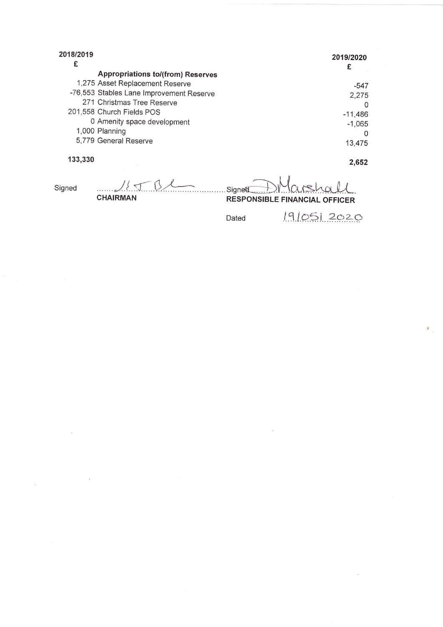| 2018/2019<br>£ |                                          | 2019/2020<br>£ |
|----------------|------------------------------------------|----------------|
|                | <b>Appropriations to/(from) Reserves</b> |                |
|                | 1,275 Asset Replacement Reserve          | -547           |
|                | -76,553 Stables Lane Improvement Reserve | 2,275          |
|                | 271 Christmas Tree Reserve               | $\Omega$       |
|                | 201,558 Church Fields POS                | $-11,486$      |
|                | 0 Amenity space development              | $-1,065$       |
|                | 1,000 Planning                           | O              |
|                | 5,779 General Reserve                    | 13,475         |
| 133,330        |                                          | 2,652          |
| Signed         |                                          | Signed         |

**CHAIRMAN** 

 $\ddot{\phantom{a}}$ 

**RESPONSIBLE FINANCIAL OFFICER** 

Dated

19/05/2020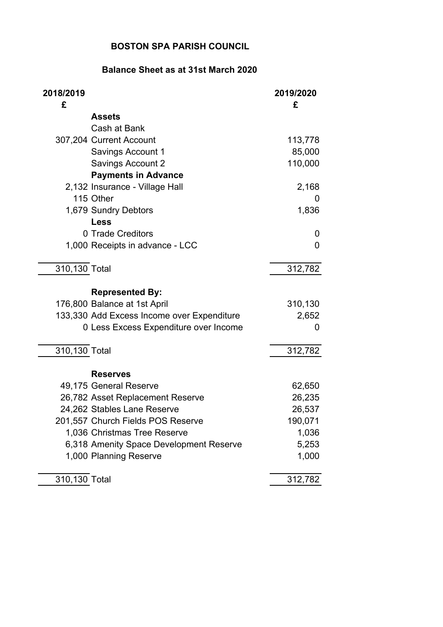## **Balance Sheet as at 31st March 2020**

| 2018/2019<br>£ |                                            | 2019/2020<br>£ |
|----------------|--------------------------------------------|----------------|
|                | <b>Assets</b>                              |                |
|                | Cash at Bank                               |                |
|                | 307,204 Current Account                    | 113,778        |
|                | <b>Savings Account 1</b>                   | 85,000         |
|                | <b>Savings Account 2</b>                   | 110,000        |
|                | <b>Payments in Advance</b>                 |                |
|                | 2,132 Insurance - Village Hall             | 2,168          |
|                | 115 Other                                  | 0              |
|                | 1,679 Sundry Debtors                       | 1,836          |
|                | <b>Less</b>                                |                |
|                | 0 Trade Creditors                          | 0              |
|                | 1,000 Receipts in advance - LCC            | $\mathbf 0$    |
| 310,130 Total  |                                            | 312,782        |
|                | <b>Represented By:</b>                     |                |
|                | 176,800 Balance at 1st April               | 310,130        |
|                | 133,330 Add Excess Income over Expenditure | 2,652          |
|                | 0 Less Excess Expenditure over Income      | 0              |
| 310,130 Total  |                                            | 312,782        |
|                |                                            |                |
|                | <b>Reserves</b>                            |                |
|                | 49,175 General Reserve                     | 62,650         |
|                | 26,782 Asset Replacement Reserve           | 26,235         |
|                | 24,262 Stables Lane Reserve                | 26,537         |
|                | 201,557 Church Fields POS Reserve          | 190,071        |
|                | 1,036 Christmas Tree Reserve               | 1,036          |
|                | 6,318 Amenity Space Development Reserve    | 5,253          |
|                | 1,000 Planning Reserve                     | 1,000          |
| 310,130 Total  |                                            | 312,782        |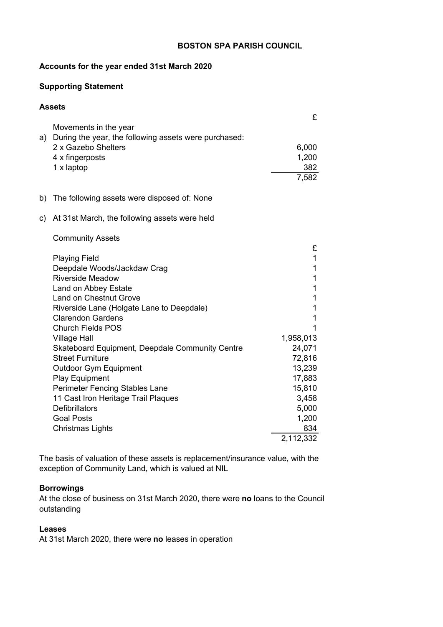#### **Accounts for the year ended 31st March 2020**

#### **Supporting Statement**

#### **Assets**

|    | Movements in the year                                 |       |
|----|-------------------------------------------------------|-------|
| a) | During the year, the following assets were purchased: |       |
|    | 2 x Gazebo Shelters                                   | 6,000 |
|    | 4 x fingerposts                                       | 1,200 |
|    | 1 x laptop                                            | 382   |
|    |                                                       | 7,582 |
|    | The following assets were disposed of: None           |       |

### c) At 31st March, the following assets were held

| <b>Community Assets</b> |  |
|-------------------------|--|
|-------------------------|--|

|                                                        | £         |
|--------------------------------------------------------|-----------|
| <b>Playing Field</b>                                   | 1         |
| Deepdale Woods/Jackdaw Crag                            | 1         |
| Riverside Meadow                                       |           |
| Land on Abbey Estate                                   |           |
| <b>Land on Chestnut Grove</b>                          |           |
| Riverside Lane (Holgate Lane to Deepdale)              |           |
| <b>Clarendon Gardens</b>                               |           |
| <b>Church Fields POS</b>                               |           |
| <b>Village Hall</b>                                    | 1,958,013 |
| <b>Skateboard Equipment, Deepdale Community Centre</b> | 24,071    |
| <b>Street Furniture</b>                                | 72,816    |
| Outdoor Gym Equipment                                  | 13,239    |
| <b>Play Equipment</b>                                  | 17,883    |
| <b>Perimeter Fencing Stables Lane</b>                  | 15,810    |
| 11 Cast Iron Heritage Trail Plaques                    | 3,458     |
| <b>Defibrillators</b>                                  | 5,000     |
| <b>Goal Posts</b>                                      | 1,200     |
| Christmas Lights                                       | 834       |
|                                                        | 2,112,332 |

The basis of valuation of these assets is replacement/insurance value, with the exception of Community Land, which is valued at NIL

#### **Borrowings**

At the close of business on 31st March 2020, there were **no** loans to the Council outstanding

#### **Leases**

At 31st March 2020, there were **no** leases in operation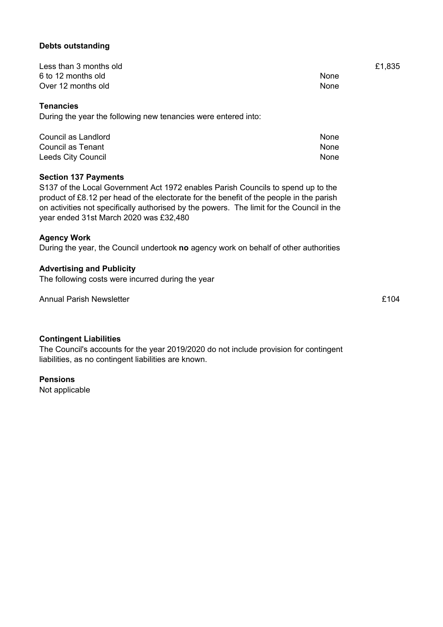#### **Debts outstanding**

| Less than 3 months old |             | £1,835 |
|------------------------|-------------|--------|
| 6 to 12 months old     | <b>None</b> |        |
| Over 12 months old     | None        |        |

#### **Tenancies**

During the year the following new tenancies were entered into:

| Council as Landlord | None |
|---------------------|------|
| Council as Tenant   | None |
| Leeds City Council  | None |

#### **Section 137 Payments**

S137 of the Local Government Act 1972 enables Parish Councils to spend up to the product of £8.12 per head of the electorate for the benefit of the people in the parish on activities not specifically authorised by the powers. The limit for the Council in the year ended 31st March 2020 was £32,480

#### **Agency Work**

During the year, the Council undertook **no** agency work on behalf of other authorities

#### **Advertising and Publicity**

The following costs were incurred during the year

Annual Parish Newsletter **Example 2018** 2019 12:30 and 2019 12:40 annual Parish Newsletter **£104** 

#### **Contingent Liabilities**

The Council's accounts for the year 2019/2020 do not include provision for contingent liabilities, as no contingent liabilities are known.

#### **Pensions**

Not applicable